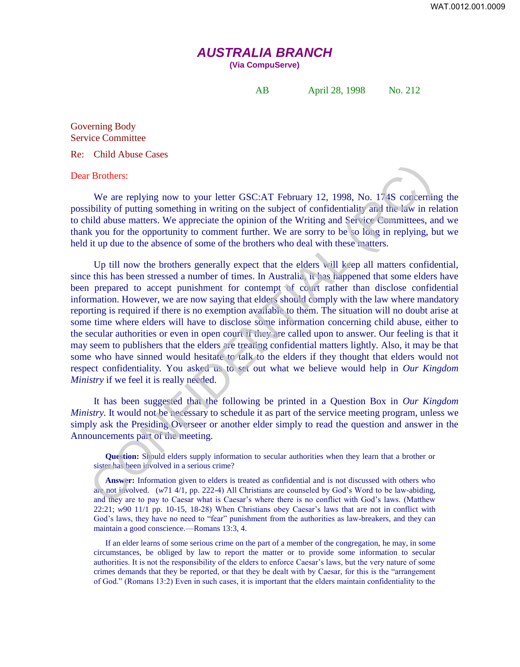## *AUSTRALIA BRANCH*

**(Via CompuServe)** 

AB April 28, 1998 No. 212

Governing Body Service Committee

Re: Child Abuse Cases

Dear Brothers:

We are replying now to your letter GSC:AT February 12, 1998, No. 174S concerning the possibility of putting something in writing on the subject of confidentiality and the law in relation to child abuse matters. We appreciate the opinion of the Writing and Service Committees, and we thank you for the opportunity to comment further. We are sorry to be so long in replying, but we held it up due to the absence of some of the brothers who deal with these matters.

Up till now the brothers generally expect that the elders will keep all matters confidential, since this has been stressed a number of times. In Australia, it has happened that some elders have been prepared to accept punishment for contempt of court rather than disclose confidential information. However, we are now saying that elders should comply with the law where mandatory reporting is required if there is no exemption available to them. The situation will no doubt arise at some time where elders will have to disclose some information concerning child abuse, either to the secular authorities or even in open court if they are called upon to answer. Our feeling is that it may seem to publishers that the elders are treating confidential matters lightly. Also, it may be that some who have sinned would hesitate to talk to the elders if they thought that elders would not respect confidentiality. You asked us to set out what we believe would help in *Our Kingdom Ministry* if we feel it is really needed. **E Brothers:**<br>
We are replying now to your letter GSC:AT February 12, 1998, No. 1748 concernitibility of putting something in writing on the subject of confidentiality and the law in relaying in the subject of comment fur

It has been suggested that the following be printed in a Question Box in *Our Kingdom Ministry.* It would not be necessary to schedule it as part of the service meeting program, unless we simply ask the Presiding Overseer or another elder simply to read the question and answer in the Announcements part of the meeting.

**Question:** Should elders supply information to secular authorities when they learn that a brother or sister has been involved in a serious crime?

**Answer:** Information given to elders is treated as confidential and is not discussed with others who are not involved. (*w*71 4/1, pp. 222-4) All Christians are counseled by God's Word to be law-abiding, and they are to pay to Caesar what is Caesar's where there is no conflict with God's laws. (Matthew 22:21; *w*90 11/1 pp. 10-15, 18-28) When Christians obey Caesar's laws that are not in conflict with God's laws, they have no need to "fear" punishment from the authorities as law-breakers, and they can maintain a good conscience.—Romans 13:3, 4.

If an elder learns of some serious crime on the part of a member of the congregation, he may, in some circumstances, be obliged by law to report the matter or to provide some information to secular authorities. It is not the responsibility of the elders to enforce Caesar's laws, but the very nature of some crimes demands that they be reported, or that they be dealt with by Caesar, for this is the "arrangement of God." (Romans 13:2) Even in such cases, it is important that the elders maintain confidentiality to the